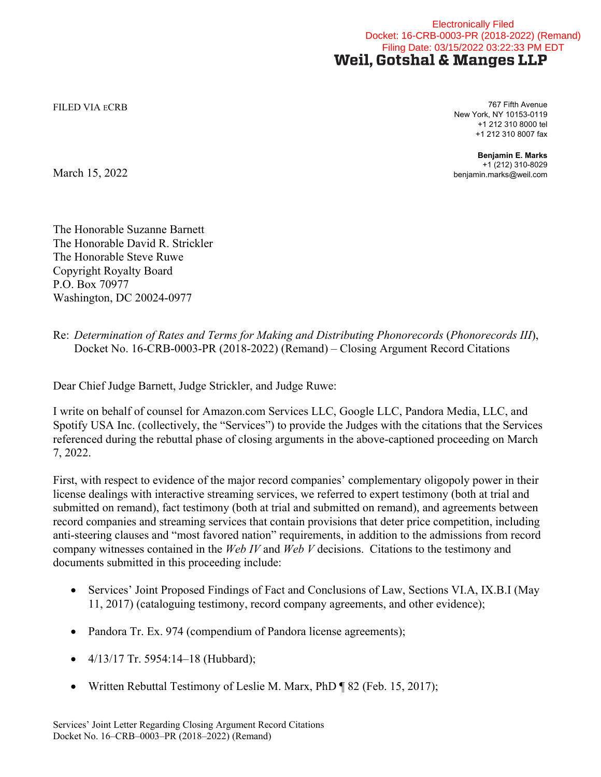## Electronically Filed Docket: 16-CRB-0003-PR (2018-2022) (Remand) Filing Date: 03/15/2022 03:22:33 PM EDTWeil, Gotshal & Manges LLP

FILED VIA ECRB 767 Fifth Avenue New York, NY 10153-0119 +1 212 310 8000 tel +1 212 310 8007 fax

> **Benjamin E. Marks** +1 (212) 310-8029 benjamin.marks@weil.com

March 15, 2022

The Honorable Suzanne Barnett The Honorable David R. Strickler The Honorable Steve Ruwe Copyright Royalty Board P.O. Box 70977 Washington, DC 20024-0977

Re: *Determination of Rates and Terms for Making and Distributing Phonorecords* (*Phonorecords III*), Docket No. 16-CRB-0003-PR (2018-2022) (Remand) – Closing Argument Record Citations

Dear Chief Judge Barnett, Judge Strickler, and Judge Ruwe:

I write on behalf of counsel for Amazon.com Services LLC, Google LLC, Pandora Media, LLC, and Spotify USA Inc. (collectively, the "Services") to provide the Judges with the citations that the Services referenced during the rebuttal phase of closing arguments in the above-captioned proceeding on March 7, 2022.

First, with respect to evidence of the major record companies' complementary oligopoly power in their license dealings with interactive streaming services, we referred to expert testimony (both at trial and submitted on remand), fact testimony (both at trial and submitted on remand), and agreements between record companies and streaming services that contain provisions that deter price competition, including anti-steering clauses and "most favored nation" requirements, in addition to the admissions from record company witnesses contained in the *Web IV* and *Web V* decisions. Citations to the testimony and documents submitted in this proceeding include:

- Services' Joint Proposed Findings of Fact and Conclusions of Law, Sections VI.A, IX.B.I (May 11, 2017) (cataloguing testimony, record company agreements, and other evidence);
- Pandora Tr. Ex. 974 (compendium of Pandora license agreements);
- $\bullet$  4/13/17 Tr. 5954:14-18 (Hubbard);
- Written Rebuttal Testimony of Leslie M. Marx, PhD ¶ 82 (Feb. 15, 2017);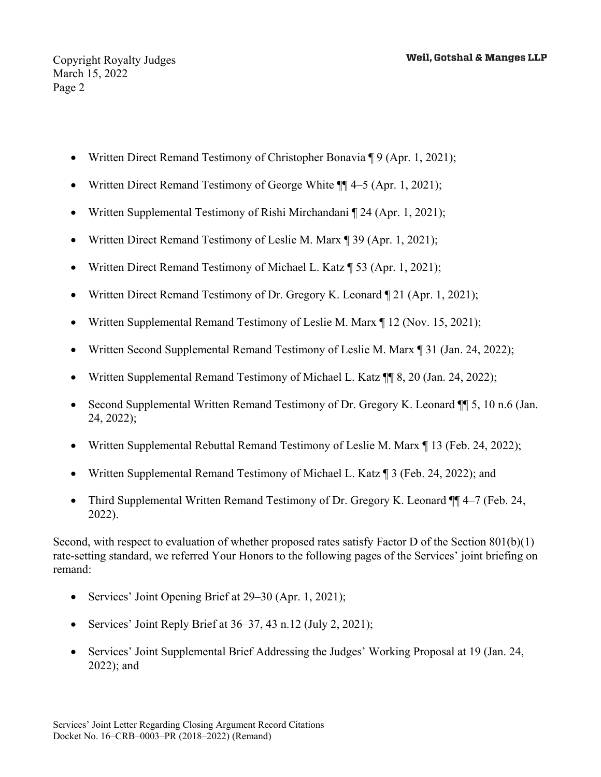- Written Direct Remand Testimony of Christopher Bonavia ¶ 9 (Apr. 1, 2021);
- Written Direct Remand Testimony of George White ¶¶ 4–5 (Apr. 1, 2021);
- Written Supplemental Testimony of Rishi Mirchandani ¶ 24 (Apr. 1, 2021);
- Written Direct Remand Testimony of Leslie M. Marx ¶ 39 (Apr. 1, 2021);
- Written Direct Remand Testimony of Michael L. Katz ¶ 53 (Apr. 1, 2021);
- Written Direct Remand Testimony of Dr. Gregory K. Leonard ¶ 21 (Apr. 1, 2021);
- Written Supplemental Remand Testimony of Leslie M. Marx ¶ 12 (Nov. 15, 2021);
- Written Second Supplemental Remand Testimony of Leslie M. Marx ¶ 31 (Jan. 24, 2022);
- Written Supplemental Remand Testimony of Michael L. Katz ¶¶ 8, 20 (Jan. 24, 2022);
- Second Supplemental Written Remand Testimony of Dr. Gregory K. Leonard ¶ 5, 10 n.6 (Jan. 24, 2022);
- Written Supplemental Rebuttal Remand Testimony of Leslie M. Marx ¶ 13 (Feb. 24, 2022);
- Written Supplemental Remand Testimony of Michael L. Katz ¶ 3 (Feb. 24, 2022); and
- Third Supplemental Written Remand Testimony of Dr. Gregory K. Leonard ¶¶ 4–7 (Feb. 24, 2022).

Second, with respect to evaluation of whether proposed rates satisfy Factor D of the Section 801(b)(1) rate-setting standard, we referred Your Honors to the following pages of the Services' joint briefing on remand:

- Services' Joint Opening Brief at 29–30 (Apr. 1, 2021);
- Services' Joint Reply Brief at 36–37, 43 n.12 (July 2, 2021);
- Services' Joint Supplemental Brief Addressing the Judges' Working Proposal at 19 (Jan. 24, 2022); and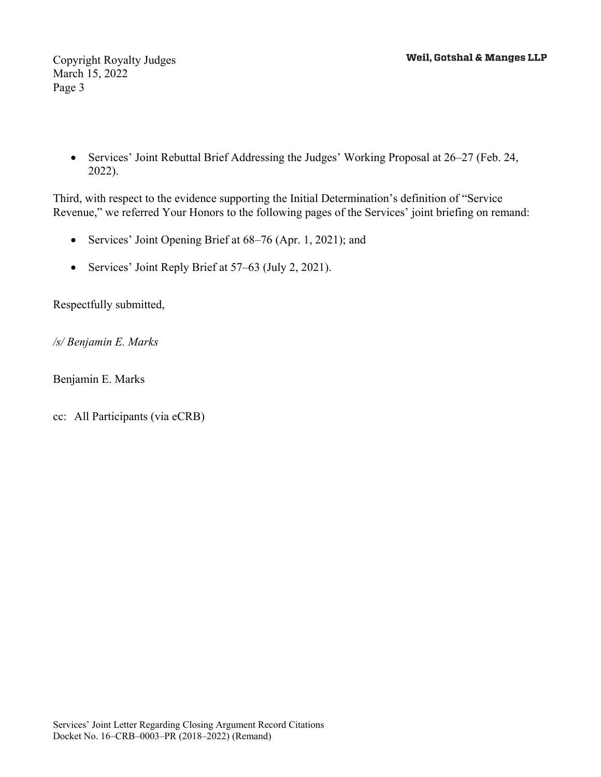Copyright Royalty Judges March 15, 2022 Page 3

 Services' Joint Rebuttal Brief Addressing the Judges' Working Proposal at 26–27 (Feb. 24, 2022).

Third, with respect to the evidence supporting the Initial Determination's definition of "Service Revenue," we referred Your Honors to the following pages of the Services' joint briefing on remand:

- Services' Joint Opening Brief at 68–76 (Apr. 1, 2021); and
- Services' Joint Reply Brief at 57–63 (July 2, 2021).

Respectfully submitted,

*/s/ Benjamin E. Marks* 

Benjamin E. Marks

cc: All Participants (via eCRB)